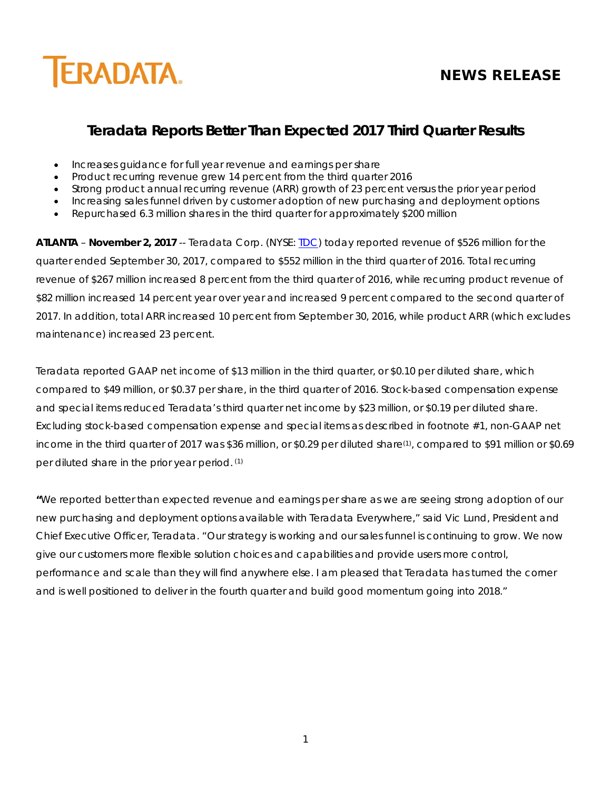

# **NEWS RELEASE**

# **Teradata Reports Better Than Expected 2017 Third Quarter Results**

- Increases guidance for full year revenue and earnings per share
- Product recurring revenue grew 14 percent from the third quarter 2016
- Strong product annual recurring revenue (ARR) growth of 23 percent versus the prior year period
- Increasing sales funnel driven by customer adoption of new purchasing and deployment options
- Repurchased 6.3 million shares in the third quarter for approximately \$200 million

**ATLANTA** – **November 2, 2017** -- Teradata Corp. (NYSE: [TDC\)](http://investor.teradata.com/about-teradata/default.aspx) today reported revenue of \$526 million for the quarter ended September 30, 2017, compared to \$552 million in the third quarter of 2016. Total recurring revenue of \$267 million increased 8 percent from the third quarter of 2016, while recurring product revenue of \$82 million increased 14 percent year over year and increased 9 percent compared to the second quarter of 2017. In addition, total ARR increased 10 percent from September 30, 2016, while product ARR (which excludes maintenance) increased 23 percent.

Teradata reported GAAP net income of \$13 million in the third quarter, or \$0.10 per diluted share, which compared to \$49 million, or \$0.37 per share, in the third quarter of 2016. Stock-based compensation expense and special items reduced Teradata's third quarter net income by \$23 million, or \$0.19 per diluted share. Excluding stock-based compensation expense and special items as described in footnote #1, non-GAAP net income in the third quarter of 2017 was \$36 million, or \$0.29 per diluted share(1) , compared to \$91 million or \$0.69 per diluted share in the prior year period. (1)

**"**We reported better than expected revenue and earnings per share as we are seeing strong adoption of our new purchasing and deployment options available with Teradata Everywhere," said Vic Lund, President and Chief Executive Officer, Teradata. "Our strategy is working and our sales funnel is continuing to grow. We now give our customers more flexible solution choices and capabilities and provide users more control, performance and scale than they will find anywhere else. I am pleased that Teradata has turned the corner and is well positioned to deliver in the fourth quarter and build good momentum going into 2018."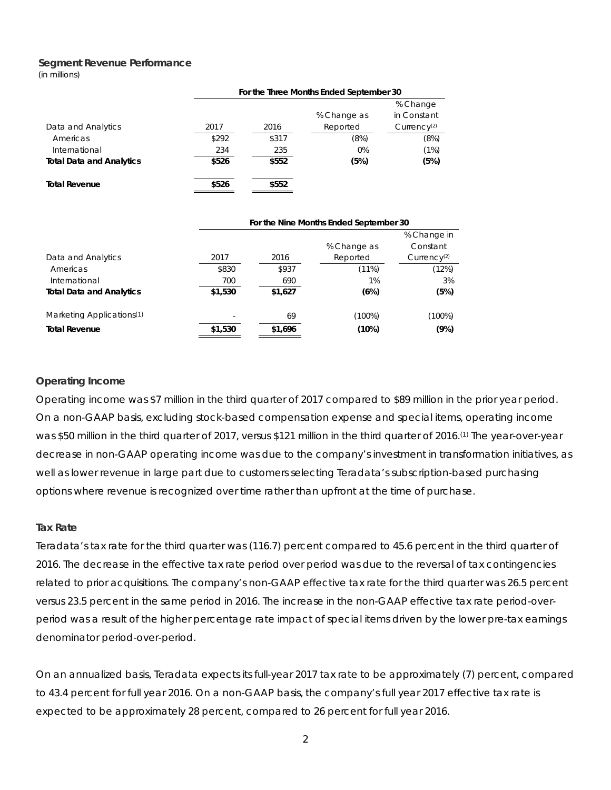#### **Segment Revenue Performance**

(in millions)

|                                 | For the Three Months Ended September 30 |       |             |                         |  |  |  |  |  |  |  |
|---------------------------------|-----------------------------------------|-------|-------------|-------------------------|--|--|--|--|--|--|--|
|                                 |                                         |       |             | % Change                |  |  |  |  |  |  |  |
|                                 |                                         |       | % Change as | in Constant             |  |  |  |  |  |  |  |
| Data and Analytics              | 2017                                    | 2016  | Reported    | Currence <sub>(2)</sub> |  |  |  |  |  |  |  |
| Americas                        | \$292                                   | \$317 | (8%)        | (8%)                    |  |  |  |  |  |  |  |
| International                   | 234                                     | 235   | 0%          | (1%)                    |  |  |  |  |  |  |  |
| <b>Total Data and Analytics</b> | \$526                                   | \$552 | (5%)        | (5%)                    |  |  |  |  |  |  |  |
| <b>Total Revenue</b>            | \$526                                   | \$552 |             |                         |  |  |  |  |  |  |  |

|                                       | For the Nine Months Ended September 30 |         |             |                         |  |  |  |  |  |  |  |
|---------------------------------------|----------------------------------------|---------|-------------|-------------------------|--|--|--|--|--|--|--|
|                                       |                                        |         |             | % Change in             |  |  |  |  |  |  |  |
|                                       |                                        |         | % Change as | Constant                |  |  |  |  |  |  |  |
| Data and Analytics                    | 2017                                   | 2016    | Reported    | Currence <sub>(2)</sub> |  |  |  |  |  |  |  |
| Americas                              | \$830                                  | \$937   | (11%)       | (12%)                   |  |  |  |  |  |  |  |
| International                         | 700                                    | 690     | 1%          | 3%                      |  |  |  |  |  |  |  |
| <b>Total Data and Analytics</b>       | \$1,530                                | \$1,627 | (6%)        | (5%)                    |  |  |  |  |  |  |  |
|                                       |                                        |         |             |                         |  |  |  |  |  |  |  |
| Marketing Applications <sup>(1)</sup> | ٠                                      | 69      | $(100\%)$   | (100%)                  |  |  |  |  |  |  |  |
| <b>Total Revenue</b>                  | \$1,530                                | \$1,696 | (10%)       | (9%)                    |  |  |  |  |  |  |  |

#### **Operating Income**

Operating income was \$7 million in the third quarter of 2017 compared to \$89 million in the prior year period. On a non-GAAP basis, excluding stock-based compensation expense and special items, operating income was \$50 million in the third quarter of 2017, versus \$121 million in the third quarter of 2016.(1) The year-over-year decrease in non-GAAP operating income was due to the company's investment in transformation initiatives, as well as lower revenue in large part due to customers selecting Teradata's subscription-based purchasing options where revenue is recognized over time rather than upfront at the time of purchase.

#### **Tax Rate**

Teradata's tax rate for the third quarter was (116.7) percent compared to 45.6 percent in the third quarter of 2016. The decrease in the effective tax rate period over period was due to the reversal of tax contingencies related to prior acquisitions. The company's non-GAAP effective tax rate for the third quarter was 26.5 percent versus 23.5 percent in the same period in 2016. The increase in the non-GAAP effective tax rate period-overperiod was a result of the higher percentage rate impact of special items driven by the lower pre-tax earnings denominator period-over-period.

On an annualized basis, Teradata expects its full-year 2017 tax rate to be approximately (7) percent, compared to 43.4 percent for full year 2016. On a non-GAAP basis, the company's full year 2017 effective tax rate is expected to be approximately 28 percent, compared to 26 percent for full year 2016.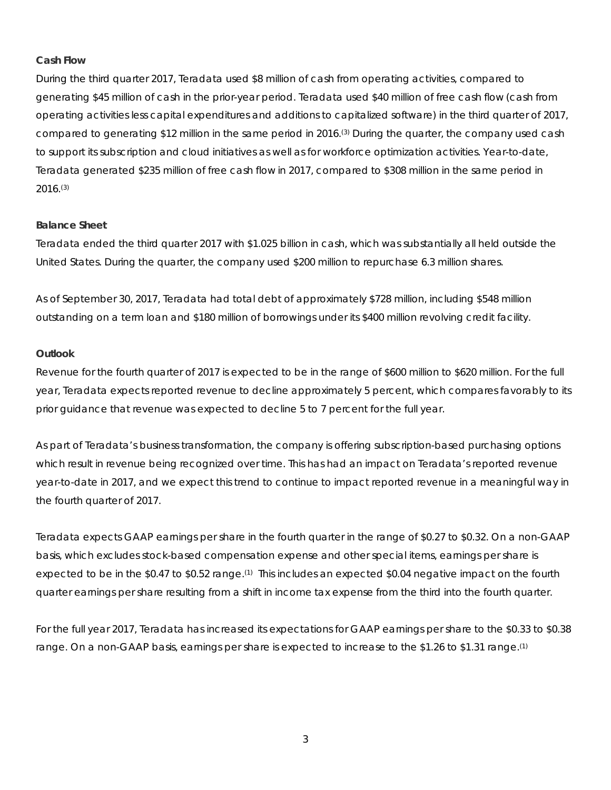## **Cash Flow**

During the third quarter 2017, Teradata used \$8 million of cash from operating activities, compared to generating \$45 million of cash in the prior-year period. Teradata used \$40 million of free cash flow (cash from operating activities less capital expenditures and additions to capitalized software) in the third quarter of 2017, compared to generating \$12 million in the same period in 2016.(3) During the quarter, the company used cash to support its subscription and cloud initiatives as well as for workforce optimization activities. Year-to-date, Teradata generated \$235 million of free cash flow in 2017, compared to \$308 million in the same period in 2016.(3)

## **Balance Sheet**

Teradata ended the third quarter 2017 with \$1.025 billion in cash, which was substantially all held outside the United States. During the quarter, the company used \$200 million to repurchase 6.3 million shares.

As of September 30, 2017, Teradata had total debt of approximately \$728 million, including \$548 million outstanding on a term loan and \$180 million of borrowings under its \$400 million revolving credit facility.

## **Outlook**

Revenue for the fourth quarter of 2017 is expected to be in the range of \$600 million to \$620 million. For the full year, Teradata expects reported revenue to decline approximately 5 percent, which compares favorably to its prior guidance that revenue was expected to decline 5 to 7 percent for the full year.

As part of Teradata's business transformation, the company is offering subscription-based purchasing options which result in revenue being recognized over time. This has had an impact on Teradata's reported revenue year-to-date in 2017, and we expect this trend to continue to impact reported revenue in a meaningful way in the fourth quarter of 2017.

Teradata expects GAAP earnings per share in the fourth quarter in the range of \$0.27 to \$0.32. On a non-GAAP basis, which excludes stock-based compensation expense and other special items, earnings per share is expected to be in the \$0.47 to \$0.52 range.<sup>(1)</sup> This includes an expected \$0.04 negative impact on the fourth quarter earnings per share resulting from a shift in income tax expense from the third into the fourth quarter.

For the full year 2017, Teradata has increased its expectations for GAAP earnings per share to the \$0.33 to \$0.38 range. On a non-GAAP basis, earnings per share is expected to increase to the \$1.26 to \$1.31 range.(1)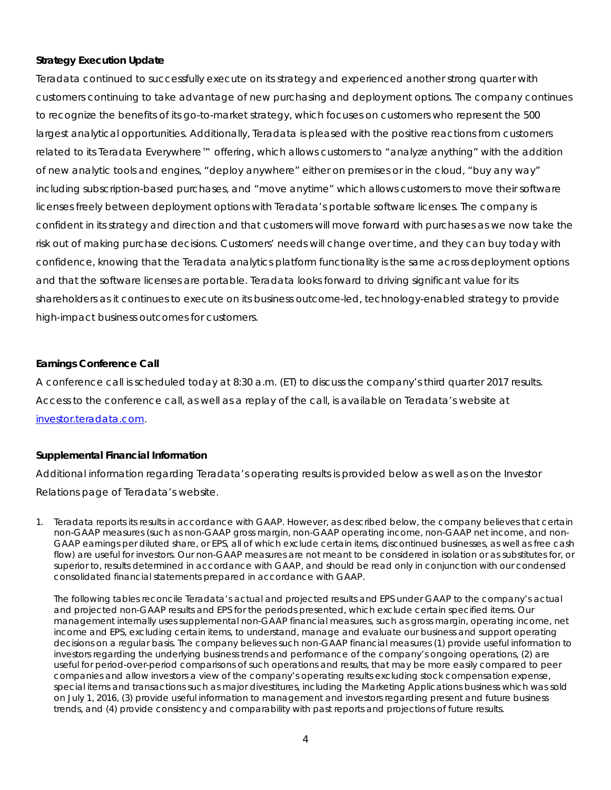## **Strategy Execution Update**

Teradata continued to successfully execute on its strategy and experienced another strong quarter with customers continuing to take advantage of new purchasing and deployment options. The company continues to recognize the benefits of its go-to-market strategy, which focuses on customers who represent the 500 largest analytical opportunities. Additionally, Teradata is pleased with the positive reactions from customers related to its Teradata Everywhere™ offering, which allows customers to "analyze anything" with the addition of new analytic tools and engines, "deploy anywhere" either on premises or in the cloud, "buy any way" including subscription-based purchases, and "move anytime" which allows customers to move their software licenses freely between deployment options with Teradata's portable software licenses. The company is confident in its strategy and direction and that customers will move forward with purchases as we now take the risk out of making purchase decisions. Customers' needs will change over time, and they can buy today with confidence, knowing that the Teradata analytics platform functionality is the same across deployment options and that the software licenses are portable. Teradata looks forward to driving significant value for its shareholders as it continues to execute on its business outcome-led, technology-enabled strategy to provide high-impact business outcomes for customers.

## **Earnings Conference Call**

A conference call is scheduled today at 8:30 a.m. (ET) to discuss the company's third quarter 2017 results. Access to the conference call, as well as a replay of the call, is available on Teradata's website at [investor.teradata.com.](http://investor.teradata.com/about-teradata/default.aspx#top)

## **Supplemental Financial Information**

Additional information regarding Teradata's operating results is provided below as well as on the Investor Relations page of Teradata's website.

1. Teradata reports its results in accordance with GAAP. However, as described below, the company believes that certain non-GAAP measures (such as non-GAAP gross margin, non-GAAP operating income, non-GAAP net income, and non-GAAP earnings per diluted share, or EPS, all of which exclude certain items, discontinued businesses, as well as free cash flow) are useful for investors. Our non-GAAP measures are not meant to be considered in isolation or as substitutes for, or superior to, results determined in accordance with GAAP, and should be read only in conjunction with our condensed consolidated financial statements prepared in accordance with GAAP.

The following tables reconcile Teradata's actual and projected results and EPS under GAAP to the company's actual and projected non-GAAP results and EPS for the periods presented, which exclude certain specified items. Our management internally uses supplemental non-GAAP financial measures, such as gross margin, operating income, net income and EPS, excluding certain items, to understand, manage and evaluate our business and support operating decisions on a regular basis. The company believes such non-GAAP financial measures (1) provide useful information to investors regarding the underlying business trends and performance of the company's ongoing operations, (2) are useful for period-over-period comparisons of such operations and results, that may be more easily compared to peer companies and allow investors a view of the company's operating results excluding stock compensation expense, special items and transactions such as major divestitures, including the Marketing Applications business which was sold on July 1, 2016, (3) provide useful information to management and investors regarding present and future business trends, and (4) provide consistency and comparability with past reports and projections of future results.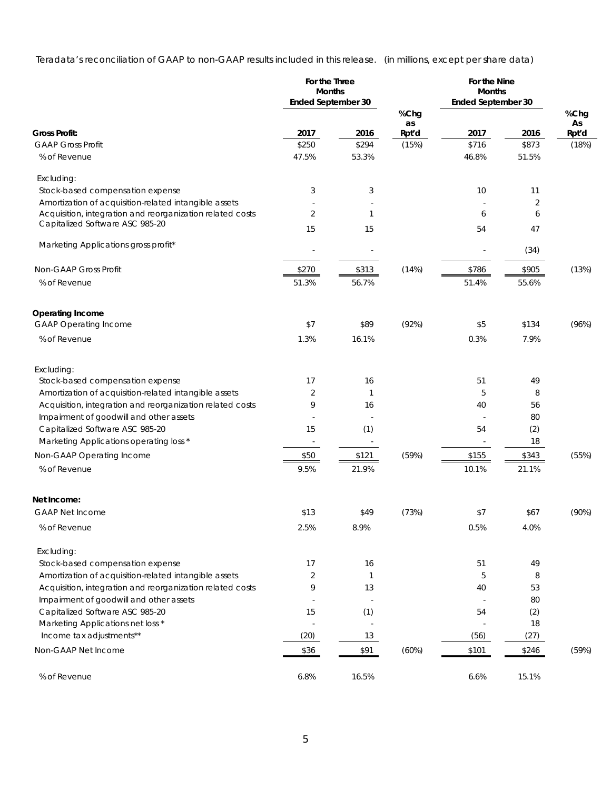Teradata's reconciliation of GAAP to non-GAAP results included in this release. (in millions, except per share data)

|                                                                                              | For the Three<br><b>Months</b> |                          |       | For the Nine<br><b>Months</b> |       |       |
|----------------------------------------------------------------------------------------------|--------------------------------|--------------------------|-------|-------------------------------|-------|-------|
|                                                                                              | Ended September 30             |                          | %Chg  | <b>Ended September 30</b>     |       | %Chg  |
|                                                                                              |                                |                          | as    |                               |       | As    |
| <b>Gross Profit:</b>                                                                         | 2017                           | 2016                     | Rpt'd | 2017                          | 2016  | Rpt'd |
| <b>GAAP Gross Profit</b>                                                                     | \$250                          | \$294                    | (15%) | \$716                         | \$873 | (18%) |
| % of Revenue                                                                                 | 47.5%                          | 53.3%                    |       | 46.8%                         | 51.5% |       |
| Excluding:                                                                                   |                                |                          |       |                               |       |       |
| Stock-based compensation expense                                                             | 3                              | 3                        |       | 10                            | 11    |       |
| Amortization of acquisition-related intangible assets                                        |                                |                          |       |                               | 2     |       |
| Acquisition, integration and reorganization related costs<br>Capitalized Software ASC 985-20 | $\overline{2}$                 | 1                        |       | 6                             | 6     |       |
|                                                                                              | 15                             | 15                       |       | 54                            | 47    |       |
| Marketing Applications gross profit*                                                         |                                |                          |       |                               | (34)  |       |
| Non-GAAP Gross Profit                                                                        | \$270                          | \$313                    | (14%) | \$786                         | \$905 | (13%) |
| % of Revenue                                                                                 | 51.3%                          | 56.7%                    |       | 51.4%                         | 55.6% |       |
|                                                                                              |                                |                          |       |                               |       |       |
| <b>Operating Income</b>                                                                      |                                |                          |       |                               |       |       |
| <b>GAAP Operating Income</b>                                                                 | \$7                            | \$89                     | (92%) | \$5                           | \$134 | (96%) |
| % of Revenue                                                                                 | 1.3%                           | 16.1%                    |       | 0.3%                          | 7.9%  |       |
| Excluding:                                                                                   |                                |                          |       |                               |       |       |
| Stock-based compensation expense                                                             | 17                             | 16                       |       | 51                            | 49    |       |
| Amortization of acquisition-related intangible assets                                        | 2                              |                          |       | 5                             | 8     |       |
| Acquisition, integration and reorganization related costs                                    | 9                              | 16                       |       | 40                            | 56    |       |
| Impairment of goodwill and other assets                                                      |                                |                          |       |                               | 80    |       |
| Capitalized Software ASC 985-20                                                              | 15                             | (1)                      |       | 54                            | (2)   |       |
| Marketing Applications operating loss *                                                      | $\sim$                         | $\overline{\phantom{a}}$ |       |                               | 18    |       |
| Non-GAAP Operating Income                                                                    | \$50                           | \$121                    | (59%) | \$155                         | \$343 | (55%) |
| % of Revenue                                                                                 | 9.5%                           | 21.9%                    |       | 10.1%                         | 21.1% |       |
|                                                                                              |                                |                          |       |                               |       |       |
| Net Income:<br><b>GAAP Net Income</b>                                                        | \$13                           | \$49                     | (73%) | \$7                           | \$67  | (90%) |
| % of Revenue                                                                                 | 2.5%                           | 8.9%                     |       | 0.5%                          | 4.0%  |       |
| Excluding:                                                                                   |                                |                          |       |                               |       |       |
| Stock-based compensation expense                                                             | 17                             | 16                       |       | 51                            | 49    |       |
| Amortization of acquisition-related intangible assets                                        | $\overline{2}$                 | $\mathbf{1}$             |       | 5                             | 8     |       |
| Acquisition, integration and reorganization related costs                                    | 9                              | 13                       |       | 40                            | 53    |       |
| Impairment of goodwill and other assets                                                      | $\overline{\phantom{a}}$       |                          |       | $\overline{\phantom{a}}$      | 80    |       |
| Capitalized Software ASC 985-20                                                              | 15                             | (1)                      |       | 54                            | (2)   |       |
| Marketing Applications net loss *                                                            | ÷,                             | ÷,                       |       |                               | 18    |       |
| Income tax adjustments**                                                                     | (20)                           | 13                       |       | (56)                          | (27)  |       |
| Non-GAAP Net Income                                                                          | \$36                           | \$91                     | (60%) | \$101                         | \$246 | (59%) |
|                                                                                              |                                |                          |       |                               |       |       |
| % of Revenue                                                                                 | 6.8%                           | 16.5%                    |       | 6.6%                          | 15.1% |       |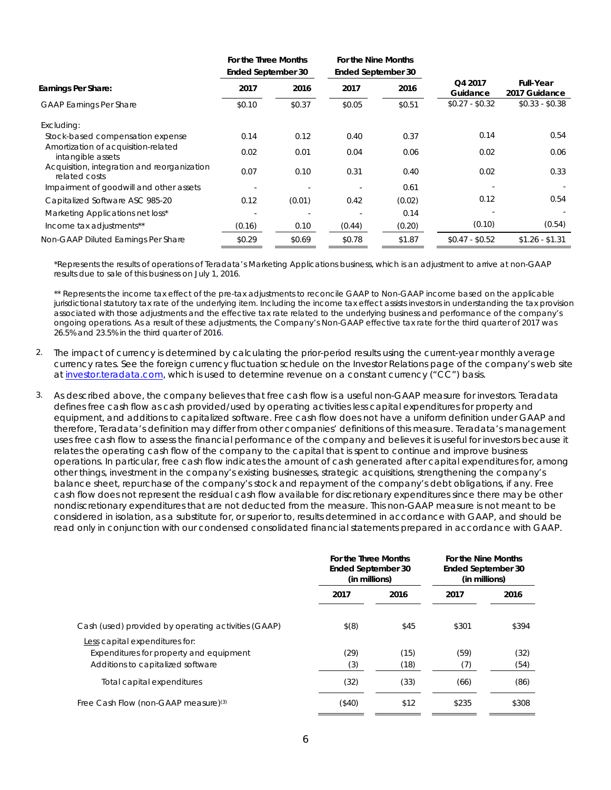|                                                              | For the Three Months<br>Ended September 30 |        | For the Nine Months<br>Ended September 30 |        |                     |                                   |  |
|--------------------------------------------------------------|--------------------------------------------|--------|-------------------------------------------|--------|---------------------|-----------------------------------|--|
| Earnings Per Share:                                          | 2017                                       | 2016   | 2017                                      | 2016   | Q4 2017<br>Guidance | <b>Full-Year</b><br>2017 Guidance |  |
| <b>GAAP Earnings Per Share</b>                               | \$0.10                                     | \$0.37 | \$0.05                                    | \$0.51 | $$0.27 - $0.32$     | $$0.33 - $0.38$                   |  |
| Excluding:                                                   |                                            |        |                                           |        |                     |                                   |  |
| Stock-based compensation expense                             | 0.14                                       | 0.12   | 0.40                                      | 0.37   | 0.14                | 0.54                              |  |
| Amortization of acquisition-related<br>intangible assets     | 0.02                                       | 0.01   | 0.04                                      | 0.06   | 0.02                | 0.06                              |  |
| Acquisition, integration and reorganization<br>related costs | 0.07                                       | 0.10   | 0.31                                      | 0.40   | 0.02                | 0.33                              |  |
| Impairment of goodwill and other assets                      | $\overline{\phantom{a}}$                   |        |                                           | 0.61   |                     |                                   |  |
| Capitalized Software ASC 985-20                              | 0.12                                       | (0.01) | 0.42                                      | (0.02) | 0.12                | 0.54                              |  |
| Marketing Applications net loss*                             |                                            |        |                                           | 0.14   |                     |                                   |  |
| Income tax adjustments**                                     | (0.16)                                     | 0.10   | (0.44)                                    | (0.20) | (0.10)              | (0.54)                            |  |
| Non-GAAP Diluted Earnings Per Share                          | \$0.29                                     | \$0.69 | \$0.78                                    | \$1.87 | $$0.47 - $0.52$     | $$1.26 - $1.31$                   |  |

\*Represents the results of operations of Teradata's Marketing Applications business, which is an adjustment to arrive at non-GAAP results due to sale of this business on July 1, 2016.

\*\* Represents the income tax effect of the pre-tax adjustments to reconcile GAAP to Non-GAAP income based on the applicable jurisdictional statutory tax rate of the underlying item. Including the income tax effect assists investors in understanding the tax provision associated with those adjustments and the effective tax rate related to the underlying business and performance of the company's ongoing operations. As a result of these adjustments, the Company's Non-GAAP effective tax rate for the third quarter of 2017 was 26.5% and 23.5% in the third quarter of 2016.

- 2. The impact of currency is determined by calculating the prior-period results using the current-year monthly average currency rates. See the foreign currency fluctuation schedule on the Investor Relations page of the company's web site a[t investor.teradata.com,](http://investor.teradata.com/about-teradata/default.aspx#top) which is used to determine revenue on a constant currency ("CC") basis.
- 3. As described above, the company believes that free cash flow is a useful non-GAAP measure for investors. Teradata defines free cash flow as cash provided/used by operating activities less capital expenditures for property and equipment, and additions to capitalized software. Free cash flow does not have a uniform definition under GAAP and therefore, Teradata's definition may differ from other companies' definitions of this measure. Teradata's management uses free cash flow to assess the financial performance of the company and believes it is useful for investors because it relates the operating cash flow of the company to the capital that is spent to continue and improve business operations. In particular, free cash flow indicates the amount of cash generated after capital expenditures for, among other things, investment in the company's existing businesses, strategic acquisitions, strengthening the company's balance sheet, repurchase of the company's stock and repayment of the company's debt obligations, if any. Free cash flow does not represent the residual cash flow available for discretionary expenditures since there may be other nondiscretionary expenditures that are not deducted from the measure. This non-GAAP measure is not meant to be considered in isolation, as a substitute for, or superior to, results determined in accordance with GAAP, and should be read only in conjunction with our condensed consolidated financial statements prepared in accordance with GAAP.

|                                                                                                                | For the Three Months<br>Ended September 30<br>(in millions) |              | For the Nine Months<br><b>Ended September 30</b><br>(in millions) |              |
|----------------------------------------------------------------------------------------------------------------|-------------------------------------------------------------|--------------|-------------------------------------------------------------------|--------------|
|                                                                                                                | 2017                                                        | 2016         | 2017                                                              | 2016         |
| Cash (used) provided by operating activities (GAAP)                                                            | $$^{(8)}$                                                   | \$45         | \$301                                                             | \$394        |
| Less capital expenditures for:<br>Expenditures for property and equipment<br>Additions to capitalized software | (29)<br>(3)                                                 | (15)<br>(18) | (59)<br>(7)                                                       | (32)<br>(54) |
| Total capital expenditures                                                                                     | (32)                                                        | (33)         | (66)                                                              | (86)         |
| Free Cash Flow (non-GAAP measure) <sup>(3)</sup>                                                               | (\$40)                                                      | \$12         | \$235                                                             | \$308        |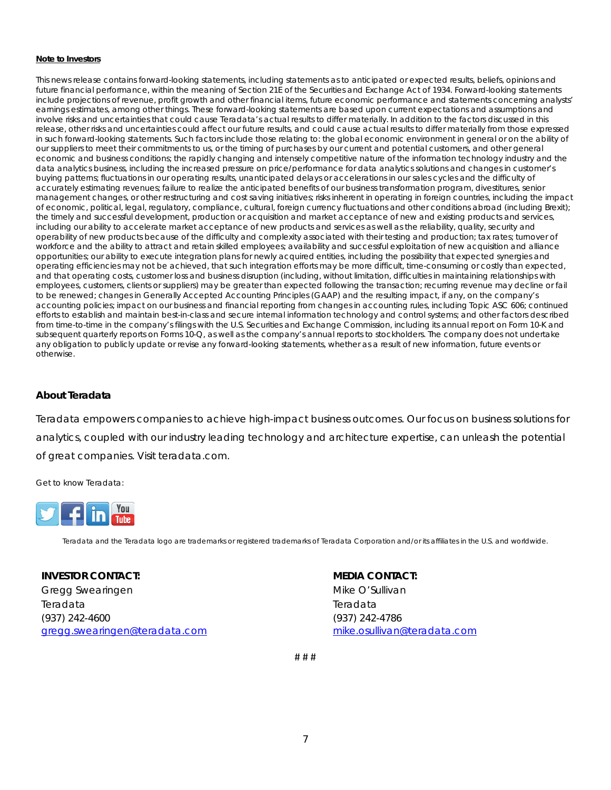#### **Note to Investors**

This news release contains forward-looking statements, including statements as to anticipated or expected results, beliefs, opinions and future financial performance, within the meaning of Section 21E of the Securities and Exchange Act of 1934. Forward-looking statements include projections of revenue, profit growth and other financial items, future economic performance and statements concerning analysts' earnings estimates, among other things. These forward-looking statements are based upon current expectations and assumptions and involve risks and uncertainties that could cause Teradata's actual results to differ materially. In addition to the factors discussed in this release, other risks and uncertainties could affect our future results, and could cause actual results to differ materially from those expressed in such forward-looking statements. Such factors include those relating to: the global economic environment in general or on the ability of our suppliers to meet their commitments to us, or the timing of purchases by our current and potential customers, and other general economic and business conditions; the rapidly changing and intensely competitive nature of the information technology industry and the data analytics business, including the increased pressure on price/performance for data analytics solutions and changes in customer's buying patterns; fluctuations in our operating results, unanticipated delays or accelerations in our sales cycles and the difficulty of accurately estimating revenues; failure to realize the anticipated benefits of our business transformation program, divestitures, senior management changes, or other restructuring and cost saving initiatives; risks inherent in operating in foreign countries, including the impact of economic, political, legal, regulatory, compliance, cultural, foreign currency fluctuations and other conditions abroad (including Brexit); the timely and successful development, production or acquisition and market acceptance of new and existing products and services, including our ability to accelerate market acceptance of new products and services as well as the reliability, quality, security and operability of new products because of the difficulty and complexity associated with their testing and production; tax rates; turnover of workforce and the ability to attract and retain skilled employees; availability and successful exploitation of new acquisition and alliance opportunities; our ability to execute integration plans for newly acquired entities, including the possibility that expected synergies and operating efficiencies may not be achieved, that such integration efforts may be more difficult, time-consuming or costly than expected, and that operating costs, customer loss and business disruption (including, without limitation, difficulties in maintaining relationships with employees, customers, clients or suppliers) may be greater than expected following the transaction; recurring revenue may decline or fail to be renewed; changes in Generally Accepted Accounting Principles (GAAP) and the resulting impact, if any, on the company's accounting policies; impact on our business and financial reporting from changes in accounting rules, including Topic ASC *606*; continued efforts to establish and maintain best-in-class and secure internal information technology and control systems; and other factors described from time-to-time in the company's filings with the U.S. Securities and Exchange Commission, including its annual report on Form 10-K and subsequent quarterly reports on Forms 10-Q, as well as the company's annual reports to stockholders. The company does not undertake any obligation to publicly update or revise any forward-looking statements, whether as a result of new information, future events or otherwise.

## *About Teradata*

Teradata empowers companies to achieve high-impact business outcomes. Our focus on business solutions for analytics, coupled with our industry leading technology and architecture expertise, can unleash the potential of great companies. Visit teradata.com.

Get to know Teradata:



Teradata and the Teradata logo are trademarks or registered trademarks of Teradata Corporation and/or its affiliates in the U.S. and worldwide.

#### **INVESTOR CONTACT:**

Gregg Swearingen Teradata (937) 242-4600 [gregg.swearingen@teradata.com](mailto:gregg.swearingen@teradata.com)

#### **MEDIA CONTACT:**

Mike O'Sullivan Teradata (937) 242-4786 [mike.osullivan@teradata.com](mailto:mike.osullivan@teradata.com)

# # #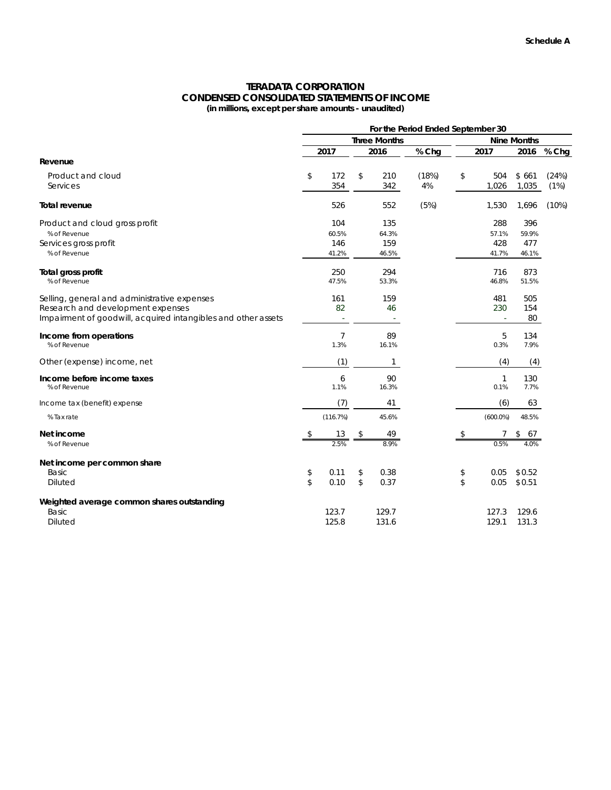#### **TERADATA CORPORATION CONDENSED CONSOLIDATED STATEMENTS OF INCOME (in millions, except per share amounts - unaudited)**

|                                                               | For the Period Ended September 30 |                        |    |             |             |                    |              |                |               |  |
|---------------------------------------------------------------|-----------------------------------|------------------------|----|-------------|-------------|--------------------|--------------|----------------|---------------|--|
|                                                               | <b>Three Months</b>               |                        |    |             |             | <b>Nine Months</b> |              |                |               |  |
|                                                               |                                   | 2017                   |    | 2016        | % Chg       |                    | 2017         | 2016           | % Chg         |  |
| Revenue                                                       |                                   |                        |    |             |             |                    |              |                |               |  |
| Product and cloud<br>Services                                 | \$                                | 172<br>354             | \$ | 210<br>342  | (18%)<br>4% | \$                 | 504<br>1,026 | \$661<br>1,035 | (24%)<br>(1%) |  |
| Total revenue                                                 |                                   | 526                    |    | 552         | (5%)        |                    | 1,530        | 1,696          | (10%)         |  |
| Product and cloud gross profit                                |                                   | 104                    |    | 135         |             |                    | 288          | 396            |               |  |
| % of Revenue                                                  |                                   | 60.5%                  |    | 64.3%       |             |                    | 57.1%        | 59.9%          |               |  |
| Services gross profit                                         |                                   | 146                    |    | 159         |             |                    | 428          | 477            |               |  |
| % of Revenue                                                  |                                   | 41.2%                  |    | 46.5%       |             |                    | 41.7%        | 46.1%          |               |  |
| Total gross profit                                            |                                   | 250                    |    | 294         |             |                    | 716          | 873            |               |  |
| % of Revenue                                                  |                                   | 47.5%                  |    | 53.3%       |             |                    | 46.8%        | 51.5%          |               |  |
| Selling, general and administrative expenses                  |                                   | 161                    |    | 159         |             |                    | 481          | 505            |               |  |
| Research and development expenses                             |                                   | 82                     |    | 46          |             |                    | 230          | 154            |               |  |
| Impairment of goodwill, acquired intangibles and other assets |                                   | ÷.                     |    |             |             |                    |              | 80             |               |  |
| Income from operations<br>% of Revenue                        |                                   | $\overline{7}$<br>1.3% |    | 89<br>16.1% |             |                    | 5<br>0.3%    | 134<br>7.9%    |               |  |
| Other (expense) income, net                                   |                                   | (1)                    |    | 1           |             |                    | (4)          | (4)            |               |  |
| Income before income taxes<br>% of Revenue                    |                                   | 6<br>1.1%              |    | 90<br>16.3% |             |                    | 1<br>0.1%    | 130<br>7.7%    |               |  |
| Income tax (benefit) expense                                  |                                   | (7)                    |    | 41          |             |                    | (6)          | 63             |               |  |
| % Tax rate                                                    |                                   | (116.7%)               |    | 45.6%       |             |                    | $(600.0\%)$  | 48.5%          |               |  |
| Net income                                                    |                                   | 13                     |    | 49          |             | S                  |              | \$<br>67       |               |  |
| % of Revenue                                                  |                                   |                        |    | 8.0%        |             |                    | 0.5%         | 4 0%           |               |  |
| Net income per common share                                   |                                   |                        |    |             |             |                    |              |                |               |  |
| <b>Basic</b>                                                  | \$                                | 0.11                   | \$ | 0.38        |             | \$                 | 0.05         | \$0.52         |               |  |
| <b>Diluted</b>                                                | \$                                | 0.10                   | \$ | 0.37        |             | \$                 | 0.05         | \$0.51         |               |  |
| Weighted average common shares outstanding                    |                                   |                        |    |             |             |                    |              |                |               |  |
| <b>Basic</b>                                                  |                                   | 123.7                  |    | 129.7       |             |                    | 127.3        | 129.6          |               |  |
| <b>Diluted</b>                                                |                                   | 125.8                  |    | 131.6       |             |                    | 129.1        | 131.3          |               |  |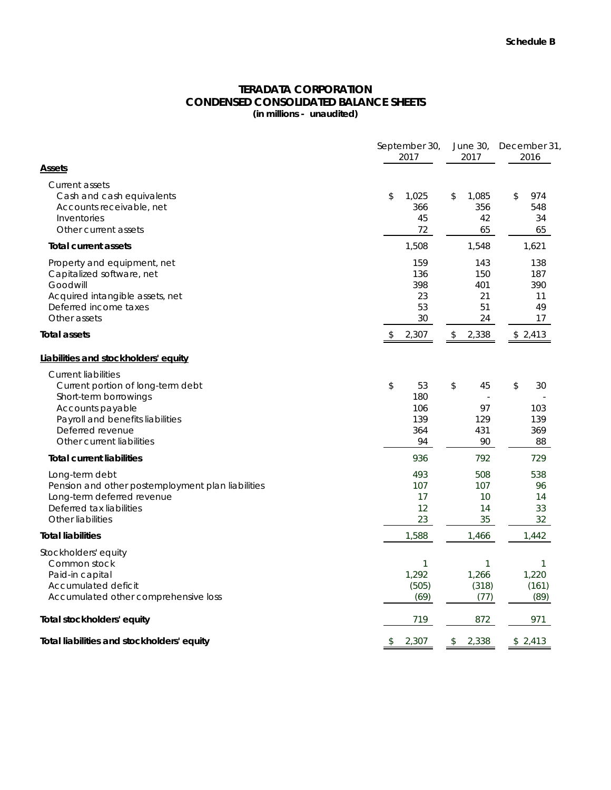# **TERADATA CORPORATION CONDENSED CONSOLIDATED BALANCE SHEETS**

**(in millions - unaudited)**

|                                                                                                                                                                                                   | September 30,<br>2017                      | 2017                                   | June 30, December 31,<br>2016          |  |
|---------------------------------------------------------------------------------------------------------------------------------------------------------------------------------------------------|--------------------------------------------|----------------------------------------|----------------------------------------|--|
| Assets                                                                                                                                                                                            |                                            |                                        |                                        |  |
| Current assets<br>Cash and cash equivalents<br>Accounts receivable, net<br>Inventories<br>Other current assets                                                                                    | \$<br>1,025<br>366<br>45<br>72             | \$<br>1,085<br>356<br>42<br>65         | \$<br>974<br>548<br>34<br>65           |  |
| <b>Total current assets</b>                                                                                                                                                                       | 1,508                                      | 1,548                                  | 1,621                                  |  |
| Property and equipment, net<br>Capitalized software, net<br>Goodwill<br>Acquired intangible assets, net<br>Deferred income taxes<br>Other assets                                                  | 159<br>136<br>398<br>23<br>53<br>30        | 143<br>150<br>401<br>21<br>51<br>24    | 138<br>187<br>390<br>11<br>49<br>17    |  |
| Total assets                                                                                                                                                                                      | 2,307<br>\$                                | 2,338<br>\$                            | \$2,413                                |  |
| Liabilities and stockholders' equity                                                                                                                                                              |                                            |                                        |                                        |  |
| <b>Current liabilities</b><br>Current portion of long-term debt<br>Short-term borrowings<br>Accounts payable<br>Payroll and benefits liabilities<br>Deferred revenue<br>Other current liabilities | \$<br>53<br>180<br>106<br>139<br>364<br>94 | \$<br>45<br>97<br>129<br>431<br>90     | \$<br>30<br>103<br>139<br>369<br>88    |  |
| <b>Total current liabilities</b>                                                                                                                                                                  | 936                                        | 792                                    | 729                                    |  |
| Long-term debt<br>Pension and other postemployment plan liabilities<br>Long-term deferred revenue<br>Deferred tax liabilities<br>Other liabilities                                                | 493<br>107<br>17<br>12<br>23               | 508<br>107<br>10<br>14<br>35           | 538<br>96<br>14<br>33<br>32            |  |
| <b>Total liabilities</b>                                                                                                                                                                          | 1,588                                      | 1,466                                  | 1,442                                  |  |
| Stockholders' equity<br>Common stock<br>Paid-in capital<br>Accumulated deficit<br>Accumulated other comprehensive loss                                                                            | $\mathbf{1}$<br>1,292<br>(505)<br>(69)     | $\mathbf{1}$<br>1,266<br>(318)<br>(77) | $\mathbf{1}$<br>1,220<br>(161)<br>(89) |  |
| Total stockholders' equity                                                                                                                                                                        | 719                                        | 872                                    | 971                                    |  |
| Total liabilities and stockholders' equity                                                                                                                                                        | 2,307<br>\$                                | 2,338<br>\$                            | \$2,413                                |  |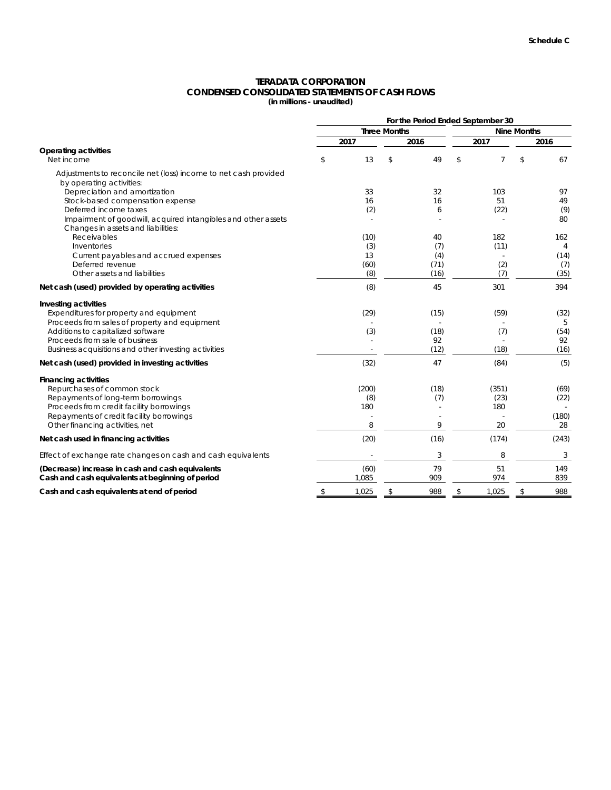## **TERADATA CORPORATION CONDENSED CONSOLIDATED STATEMENTS OF CASH FLOWS**

**(in millions - unaudited)**

|                                                                                                     |             |                     |      | For the Period Ended September 30 |    |           |  |
|-----------------------------------------------------------------------------------------------------|-------------|---------------------|------|-----------------------------------|----|-----------|--|
|                                                                                                     |             | <b>Three Months</b> |      | <b>Nine Months</b>                |    |           |  |
|                                                                                                     | 2017        |                     | 2016 | 2017                              |    | 2016      |  |
| <b>Operating activities</b><br>Net income                                                           | \$<br>13    | \$                  | 49   | \$<br>7                           | \$ | 67        |  |
| Adjustments to reconcile net (loss) income to net cash provided<br>by operating activities:         |             |                     |      |                                   |    |           |  |
| Depreciation and amortization                                                                       | 33          |                     | 32   | 103                               |    | 97        |  |
| Stock-based compensation expense                                                                    | 16          |                     | 16   | 51                                |    | 49        |  |
| Deferred income taxes                                                                               | (2)         |                     | 6    | (22)                              |    | (9)       |  |
| Impairment of goodwill, acquired intangibles and other assets<br>Changes in assets and liabilities: |             |                     |      |                                   |    | 80        |  |
| Receivables                                                                                         | (10)        |                     | 40   | 182                               |    | 162       |  |
| Inventories                                                                                         | (3)         |                     | (7)  | (11)                              |    |           |  |
| Current payables and accrued expenses                                                               | 13          |                     | (4)  |                                   |    | (14)      |  |
| Deferred revenue                                                                                    | (60)        |                     | (71) | (2)                               |    | (7)       |  |
| Other assets and liabilities                                                                        | (8)         |                     | (16) | (7)                               |    | (35)      |  |
| Net cash (used) provided by operating activities                                                    | (8)         |                     | 45   | 301                               |    | 394       |  |
| Investing activities                                                                                |             |                     |      |                                   |    |           |  |
| Expenditures for property and equipment<br>Proceeds from sales of property and equipment            | (29)        |                     | (15) | (59)                              |    | (32)<br>5 |  |
| Additions to capitalized software                                                                   | (3)         |                     | (18) | (7)                               |    | (54)      |  |
| Proceeds from sale of business                                                                      |             |                     | 92   |                                   |    | 92        |  |
| Business acquisitions and other investing activities                                                |             |                     | (12) | (18)                              |    | (16)      |  |
| Net cash (used) provided in investing activities                                                    | (32)        |                     | 47   | (84)                              |    | (5)       |  |
| <b>Financing activities</b>                                                                         |             |                     |      |                                   |    |           |  |
| Repurchases of common stock                                                                         | (200)       |                     | (18) | (351)                             |    | (69)      |  |
| Repayments of long-term borrowings<br>Proceeds from credit facility borrowings                      | (8)<br>180  |                     | (7)  | (23)<br>180                       |    | (22)      |  |
| Repayments of credit facility borrowings                                                            |             |                     |      |                                   |    | (180)     |  |
| Other financing activities, net                                                                     | 8           |                     | 9    | 20                                |    | 28        |  |
| Net cash used in financing activities                                                               | (20)        |                     | (16) | (174)                             |    | (243)     |  |
| Effect of exchange rate changes on cash and cash equivalents                                        |             |                     | 3    | 8                                 |    | 3         |  |
| (Decrease) increase in cash and cash equivalents                                                    | (60)        |                     | 79   | 51                                |    | 149       |  |
| Cash and cash equivalents at beginning of period                                                    | 1,085       |                     | 909  | 974                               |    | 839       |  |
| Cash and cash equivalents at end of period                                                          | \$<br>1,025 | \$                  | 988  | \$<br>1,025                       | \$ | 988       |  |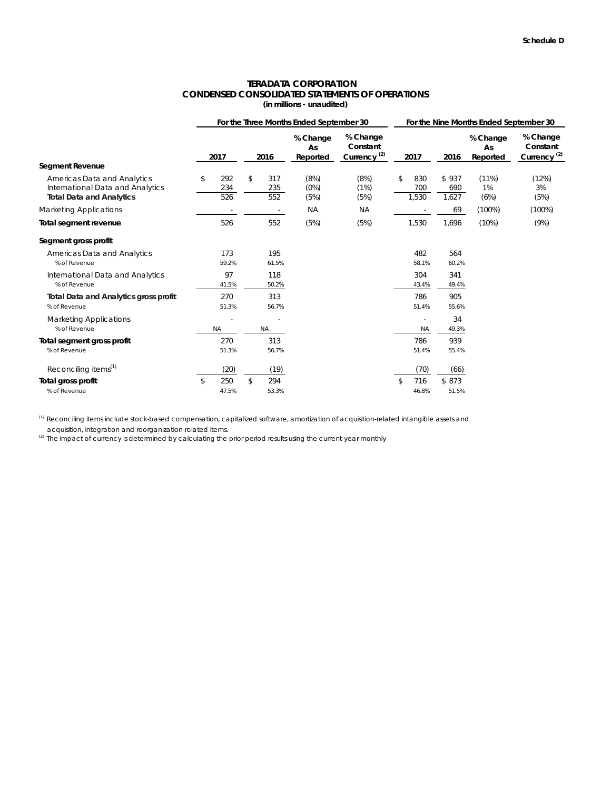#### **CONDENSED CONSOLIDATED STATEMENTS OF OPERATIONS (in millions - unaudited) TERADATA CORPORATION**

|                                                                                                           |                         |                         | For the Three Months Ended September 30 | For the Nine Months Ended September 30          |                           |                       |                            |                                                 |  |  |
|-----------------------------------------------------------------------------------------------------------|-------------------------|-------------------------|-----------------------------------------|-------------------------------------------------|---------------------------|-----------------------|----------------------------|-------------------------------------------------|--|--|
|                                                                                                           | 2017                    | 2016                    | % Change<br>As<br>Reported              | % Change<br>Constant<br>Currency <sup>(2)</sup> | 2017                      | 2016                  | % Change<br>As<br>Reported | % Change<br>Constant<br>Currency <sup>(2)</sup> |  |  |
| <b>Segment Revenue</b>                                                                                    |                         |                         |                                         |                                                 |                           |                       |                            |                                                 |  |  |
| <b>Americas Data and Analytics</b><br>International Data and Analytics<br><b>Total Data and Analytics</b> | \$<br>292<br>234<br>526 | \$<br>317<br>235<br>552 | (8%)<br>(0%)<br>(5%)                    | (8%)<br>(1%)<br>(5%)                            | \$<br>830<br>700<br>1,530 | \$937<br>690<br>1,627 | (11%)<br>1%<br>(6%)        | (12%)<br>3%<br>(5%)                             |  |  |
| <b>Marketing Applications</b>                                                                             |                         | $\sim$                  | <b>NA</b>                               | <b>NA</b>                                       |                           | 69                    | $(100\%)$                  | $(100\%)$                                       |  |  |
| Total segment revenue                                                                                     | 526                     | 552                     | (5%)                                    | (5%)                                            | 1,530                     | 1,696                 | (10%)                      | (9%)                                            |  |  |
| Segment gross profit                                                                                      |                         |                         |                                         |                                                 |                           |                       |                            |                                                 |  |  |
| <b>Americas Data and Analytics</b><br>% of Revenue                                                        | 173<br>59.2%            | 195<br>61.5%            |                                         |                                                 | 482<br>58.1%              | 564<br>60.2%          |                            |                                                 |  |  |
| International Data and Analytics<br>% of Revenue                                                          | 97<br>41.5%             | 118<br>50.2%            |                                         |                                                 | 304<br>43.4%              | 341<br>49.4%          |                            |                                                 |  |  |
| <b>Total Data and Analytics gross profit</b><br>% of Revenue                                              | 270<br>51.3%            | 313<br>56.7%            |                                         |                                                 | 786<br>51.4%              | 905<br>55.6%          |                            |                                                 |  |  |
| <b>Marketing Applications</b><br>% of Revenue                                                             | <b>NA</b>               | <b>NA</b>               |                                         |                                                 | ä,<br><b>NA</b>           | 34<br>49.3%           |                            |                                                 |  |  |
| Total segment gross profit<br>% of Revenue                                                                | 270<br>51.3%            | 313<br>56.7%            |                                         |                                                 | 786<br>51.4%              | 939<br>55.4%          |                            |                                                 |  |  |
| Reconciling items <sup>(1)</sup>                                                                          | (20)                    | (19)                    |                                         |                                                 | (70)                      | (66)                  |                            |                                                 |  |  |
| Total gross profit<br>% of Revenue                                                                        | \$<br>250<br>47.5%      | \$<br>294<br>53.3%      |                                         |                                                 | \$<br>716<br>46.8%        | \$873<br>51.5%        |                            |                                                 |  |  |

(1) Reconciling items include stock-based compensation, capitalized software, amortization of acquisition-related intangible assets and acquisition, integration and reorganization-related items.

(2) The impact of currency is determined by calculating the prior period results using the current-year monthly